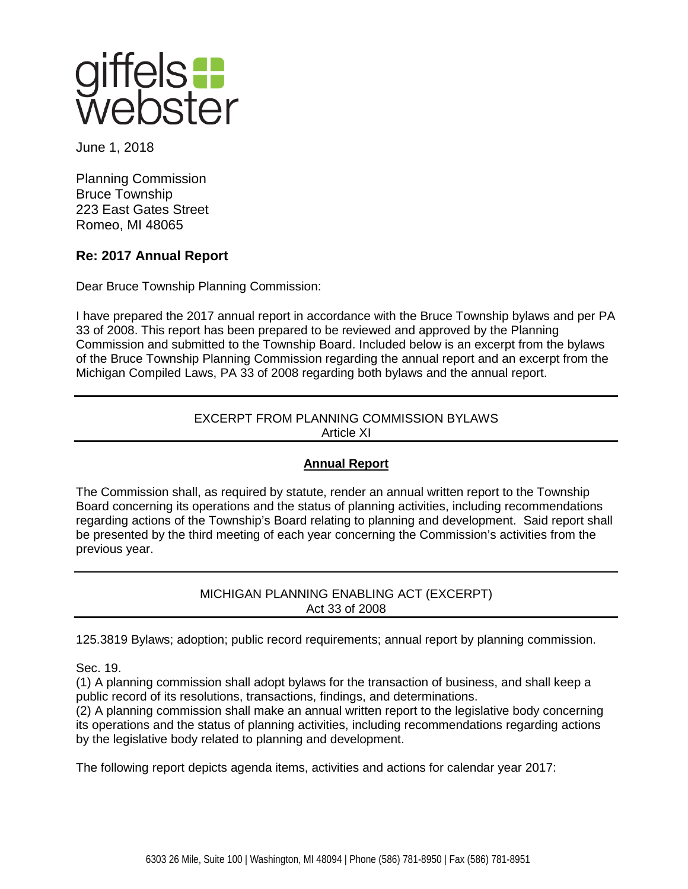

June 1, 2018

Planning Commission Bruce Township 223 East Gates Street Romeo, MI 48065

## **Re: 2017 Annual Report**

Dear Bruce Township Planning Commission:

I have prepared the 2017 annual report in accordance with the Bruce Township bylaws and per PA 33 of 2008. This report has been prepared to be reviewed and approved by the Planning Commission and submitted to the Township Board. Included below is an excerpt from the bylaws of the Bruce Township Planning Commission regarding the annual report and an excerpt from the Michigan Compiled Laws, PA 33 of 2008 regarding both bylaws and the annual report.

## EXCERPT FROM PLANNING COMMISSION BYLAWS Article XI

## **Annual Report**

The Commission shall, as required by statute, render an annual written report to the Township Board concerning its operations and the status of planning activities, including recommendations regarding actions of the Township's Board relating to planning and development. Said report shall be presented by the third meeting of each year concerning the Commission's activities from the previous year.

> MICHIGAN PLANNING ENABLING ACT (EXCERPT) Act 33 of 2008

125.3819 Bylaws; adoption; public record requirements; annual report by planning commission.

Sec. 19.

(1) A planning commission shall adopt bylaws for the transaction of business, and shall keep a public record of its resolutions, transactions, findings, and determinations.

(2) A planning commission shall make an annual written report to the legislative body concerning its operations and the status of planning activities, including recommendations regarding actions by the legislative body related to planning and development.

The following report depicts agenda items, activities and actions for calendar year 2017: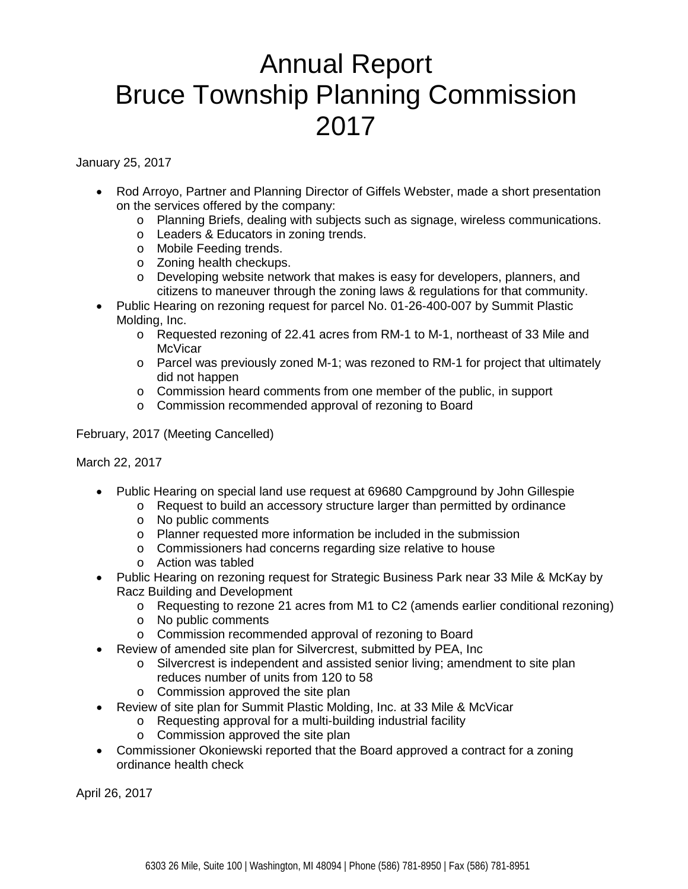## Annual Report Bruce Township Planning Commission 2017

January 25, 2017

- Rod Arroyo, Partner and Planning Director of Giffels Webster, made a short presentation on the services offered by the company:
	- o Planning Briefs, dealing with subjects such as signage, wireless communications.
	- o Leaders & Educators in zoning trends.
	- o Mobile Feeding trends.
	- o Zoning health checkups.
	- o Developing website network that makes is easy for developers, planners, and citizens to maneuver through the zoning laws & regulations for that community.
- Public Hearing on rezoning request for parcel No. 01-26-400-007 by Summit Plastic Molding, Inc.
	- o Requested rezoning of 22.41 acres from RM-1 to M-1, northeast of 33 Mile and **McVicar**
	- o Parcel was previously zoned M-1; was rezoned to RM-1 for project that ultimately did not happen
	- o Commission heard comments from one member of the public, in support
	- o Commission recommended approval of rezoning to Board

February, 2017 (Meeting Cancelled)

March 22, 2017

- Public Hearing on special land use request at 69680 Campground by John Gillespie
	- o Request to build an accessory structure larger than permitted by ordinance
	- o No public comments
	- o Planner requested more information be included in the submission
	- o Commissioners had concerns regarding size relative to house
	- o Action was tabled
- Public Hearing on rezoning request for Strategic Business Park near 33 Mile & McKay by Racz Building and Development
	- o Requesting to rezone 21 acres from M1 to C2 (amends earlier conditional rezoning)
	- o No public comments
	- o Commission recommended approval of rezoning to Board
- Review of amended site plan for Silvercrest, submitted by PEA, Inc
	- o Silvercrest is independent and assisted senior living; amendment to site plan reduces number of units from 120 to 58
	- o Commission approved the site plan
- Review of site plan for Summit Plastic Molding, Inc. at 33 Mile & McVicar
	- o Requesting approval for a multi-building industrial facility
	- o Commission approved the site plan
- Commissioner Okoniewski reported that the Board approved a contract for a zoning ordinance health check

April 26, 2017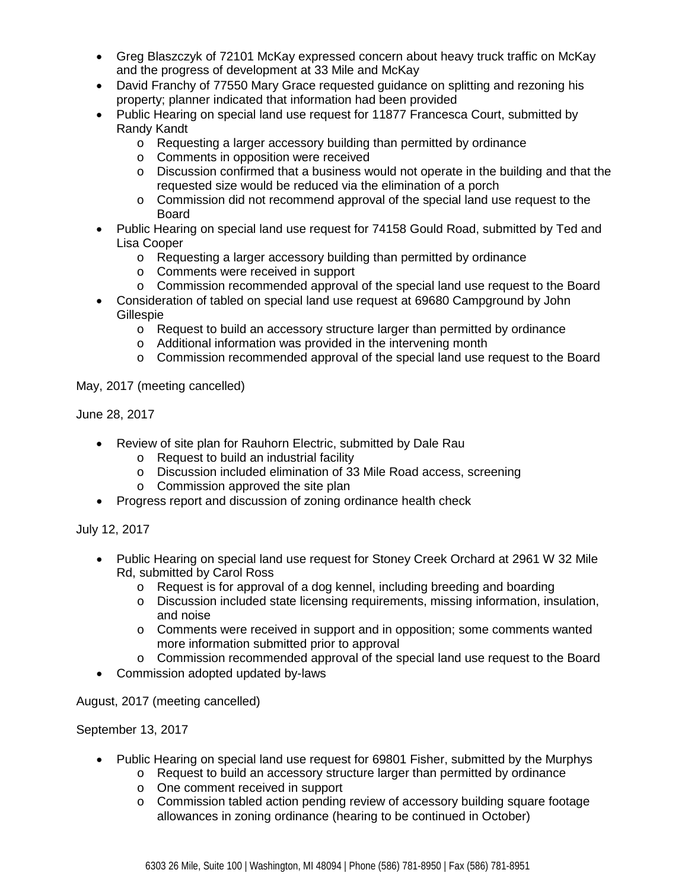- Greg Blaszczyk of 72101 McKay expressed concern about heavy truck traffic on McKay and the progress of development at 33 Mile and McKay
- David Franchy of 77550 Mary Grace requested guidance on splitting and rezoning his property; planner indicated that information had been provided
- Public Hearing on special land use request for 11877 Francesca Court, submitted by Randy Kandt
	- o Requesting a larger accessory building than permitted by ordinance
	- o Comments in opposition were received
	- $\circ$  Discussion confirmed that a business would not operate in the building and that the requested size would be reduced via the elimination of a porch
	- o Commission did not recommend approval of the special land use request to the Board
- Public Hearing on special land use request for 74158 Gould Road, submitted by Ted and Lisa Cooper
	- o Requesting a larger accessory building than permitted by ordinance
	- o Comments were received in support
	- o Commission recommended approval of the special land use request to the Board
- Consideration of tabled on special land use request at 69680 Campground by John Gillespie
	- $\circ$  Request to build an accessory structure larger than permitted by ordinance
	- o Additional information was provided in the intervening month
	- o Commission recommended approval of the special land use request to the Board

May, 2017 (meeting cancelled)

June 28, 2017

- Review of site plan for Rauhorn Electric, submitted by Dale Rau
	- o Request to build an industrial facility
	- o Discussion included elimination of 33 Mile Road access, screening
	- o Commission approved the site plan
- Progress report and discussion of zoning ordinance health check

July 12, 2017

- Public Hearing on special land use request for Stoney Creek Orchard at 2961 W 32 Mile Rd, submitted by Carol Ross
	- o Request is for approval of a dog kennel, including breeding and boarding
	- o Discussion included state licensing requirements, missing information, insulation, and noise
	- o Comments were received in support and in opposition; some comments wanted more information submitted prior to approval
	- o Commission recommended approval of the special land use request to the Board
- Commission adopted updated by-laws

August, 2017 (meeting cancelled)

September 13, 2017

- Public Hearing on special land use request for 69801 Fisher, submitted by the Murphys
	- o Request to build an accessory structure larger than permitted by ordinance
	- o One comment received in support
	- o Commission tabled action pending review of accessory building square footage allowances in zoning ordinance (hearing to be continued in October)